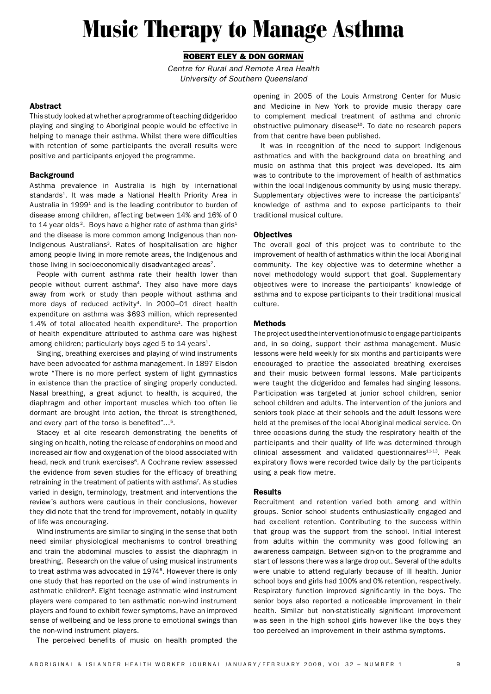# Music Therapy to Manage Asthma

# Robert Eley & Don Gorman

*Centre for Rural and Remote Area Health University of Southern Queensland*

# Abstract

This study looked at whether a programme of teaching didgeridoo playing and singing to Aboriginal people would be effective in helping to manage their asthma. Whilst there were difficulties with retention of some participants the overall results were positive and participants enjoyed the programme.

# **Background**

Asthma prevalence in Australia is high by international standards<sup>1</sup>. It was made a National Health Priority Area in Australia in 1999<sup>1</sup> and is the leading contributor to burden of disease among children, affecting between 14% and 16% of 0 to 14 year olds<sup>2</sup>. Boys have a higher rate of asthma than girls<sup>1</sup> and the disease is more common among Indigenous than non-Indigenous Australians<sup>3</sup>. Rates of hospitalisation are higher among people living in more remote areas, the Indigenous and those living in socioeconomically disadvantaged areas<sup>2</sup>.

People with current asthma rate their health lower than people without current asthma<sup>4</sup>. They also have more days away from work or study than people without asthma and more days of reduced activity<sup>4</sup>. In 2000–01 direct health expenditure on asthma was \$693 million, which represented  $1.4\%$  of total allocated health expenditure<sup>1</sup>. The proportion of health expenditure attributed to asthma care was highest among children; particularly boys aged 5 to  $14$  years<sup>1</sup>.

Singing, breathing exercises and playing of wind instruments have been advocated for asthma management. In 1897 Elsdon wrote "There is no more perfect system of light gymnastics in existence than the practice of singing properly conducted. Nasal breathing, a great adjunct to health, is acquired, the diaphragm and other important muscles which too often lie dormant are brought into action, the throat is strengthened, and every part of the torso is benefited"…5.

Stacey et al cite research demonstrating the benefits of singing on health, noting the release of endorphins on mood and increased air flow and oxygenation of the blood associated with head, neck and trunk exercises<sup>6</sup>. A Cochrane review assessed the evidence from seven studies for the efficacy of breathing retraining in the treatment of patients with asthma<sup>7</sup>. As studies varied in design, terminology, treatment and interventions the review's authors were cautious in their conclusions, however they did note that the trend for improvement, notably in quality of life was encouraging.

Wind instruments are similar to singing in the sense that both need similar physiological mechanisms to control breathing and train the abdominal muscles to assist the diaphragm in breathing. Research on the value of using musical instruments to treat asthma was advocated in 1974<sup>8</sup>. However there is only one study that has reported on the use of wind instruments in asthmatic children<sup>9</sup>. Eight teenage asthmatic wind instrument players were compared to ten asthmatic non-wind instrument players and found to exhibit fewer symptoms, have an improved sense of wellbeing and be less prone to emotional swings than the non-wind instrument players.

opening in 2005 of the Louis Armstrong Center for Music and Medicine in New York to provide music therapy care to complement medical treatment of asthma and chronic obstructive pulmonary disease<sup>10</sup>. To date no research papers from that centre have been published.

It was in recognition of the need to support Indigenous asthmatics and with the background data on breathing and music on asthma that this project was developed. Its aim was to contribute to the improvement of health of asthmatics within the local Indigenous community by using music therapy. Supplementary objectives were to increase the participants' knowledge of asthma and to expose participants to their traditional musical culture.

# **Objectives**

The overall goal of this project was to contribute to the improvement of health of asthmatics within the local Aboriginal community. The key objective was to determine whether a novel methodology would support that goal. Supplementary objectives were to increase the participants' knowledge of asthma and to expose participants to their traditional musical culture.

# Methods

The project used the intervention of music to engage participants and, in so doing, support their asthma management. Music lessons were held weekly for six months and participants were encouraged to practice the associated breathing exercises and their music between formal lessons. Male participants were taught the didgeridoo and females had singing lessons. Participation was targeted at junior school children, senior school children and adults. The intervention of the juniors and seniors took place at their schools and the adult lessons were held at the premises of the local Aboriginal medical service. On three occasions during the study the respiratory health of the participants and their quality of life was determined through clinical assessment and validated questionnaires $11-13$ . Peak expiratory flows were recorded twice daily by the participants using a peak flow metre.

# Results

Recruitment and retention varied both among and within groups. Senior school students enthusiastically engaged and had excellent retention. Contributing to the success within that group was the support from the school. Initial interest from adults within the community was good following an awareness campaign. Between sign-on to the programme and start of lessons there was a large drop out. Several of the adults were unable to attend regularly because of ill health. Junior school boys and girls had 100% and 0% retention, respectively. Respiratory function improved significantly in the boys. The senior boys also reported a noticeable improvement in their health. Similar but non-statistically significant improvement was seen in the high school girls however like the boys they too perceived an improvement in their asthma symptoms.

The perceived benefits of music on health prompted the